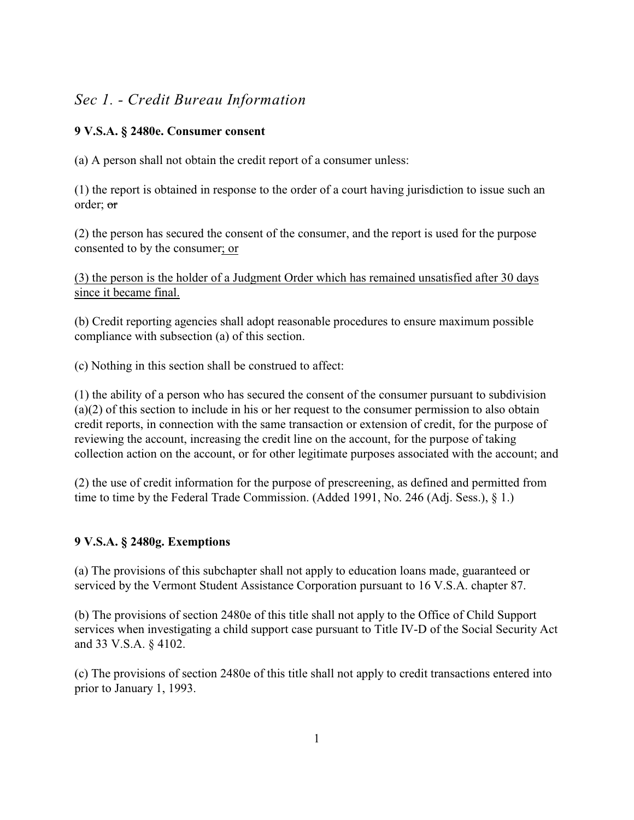# *Sec 1. - Credit Bureau Information*

### **9 V.S.A. § 2480e. Consumer consent**

(a) A person shall not obtain the credit report of a consumer unless:

(1) the report is obtained in response to the order of a court having jurisdiction to issue such an order; or

(2) the person has secured the consent of the consumer, and the report is used for the purpose consented to by the consumer; or

(3) the person is the holder of a Judgment Order which has remained unsatisfied after 30 days since it became final.

(b) Credit reporting agencies shall adopt reasonable procedures to ensure maximum possible compliance with subsection (a) of this section.

(c) Nothing in this section shall be construed to affect:

(1) the ability of a person who has secured the consent of the consumer pursuant to subdivision (a)(2) of this section to include in his or her request to the consumer permission to also obtain credit reports, in connection with the same transaction or extension of credit, for the purpose of reviewing the account, increasing the credit line on the account, for the purpose of taking collection action on the account, or for other legitimate purposes associated with the account; and

(2) the use of credit information for the purpose of prescreening, as defined and permitted from time to time by the Federal Trade Commission. (Added 1991, No. 246 (Adj. Sess.), § 1.)

### **9 V.S.A. § 2480g. Exemptions**

(a) The provisions of this subchapter shall not apply to education loans made, guaranteed or serviced by the Vermont Student Assistance Corporation pursuant to 16 V.S.A. chapter 87.

(b) The provisions of section 2480e of this title shall not apply to the Office of Child Support services when investigating a child support case pursuant to Title IV-D of the Social Security Act and 33 V.S.A. § 4102.

(c) The provisions of section 2480e of this title shall not apply to credit transactions entered into prior to January 1, 1993.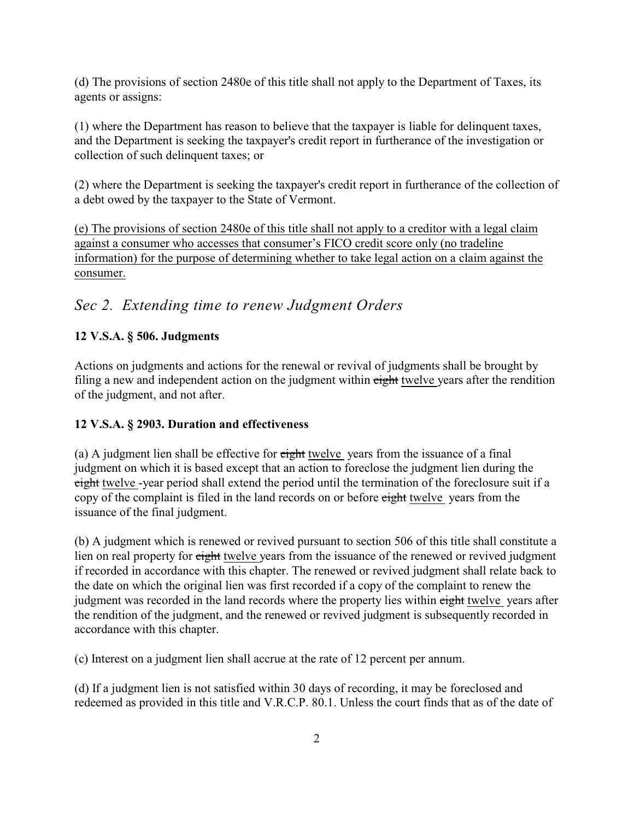(d) The provisions of section 2480e of this title shall not apply to the Department of Taxes, its agents or assigns:

(1) where the Department has reason to believe that the taxpayer is liable for delinquent taxes, and the Department is seeking the taxpayer's credit report in furtherance of the investigation or collection of such delinquent taxes; or

(2) where the Department is seeking the taxpayer's credit report in furtherance of the collection of a debt owed by the taxpayer to the State of Vermont.

(e) The provisions of section 2480e of this title shall not apply to a creditor with a legal claim against a consumer who accesses that consumer's FICO credit score only (no tradeline information) for the purpose of determining whether to take legal action on a claim against the consumer.

# *Sec 2. Extending time to renew Judgment Orders*

## **12 V.S.A. § 506. Judgments**

Actions on judgments and actions for the renewal or revival of judgments shall be brought by filing a new and independent action on the judgment within eight twelve years after the rendition of the judgment, and not after.

## **12 V.S.A. § 2903. Duration and effectiveness**

(a) A judgment lien shall be effective for eight twelve years from the issuance of a final judgment on which it is based except that an action to foreclose the judgment lien during the eight twelve -year period shall extend the period until the termination of the foreclosure suit if a copy of the complaint is filed in the land records on or before eight twelve years from the issuance of the final judgment.

(b) A judgment which is renewed or revived pursuant to section 506 of this title shall constitute a lien on real property for eight twelve years from the issuance of the renewed or revived judgment if recorded in accordance with this chapter. The renewed or revived judgment shall relate back to the date on which the original lien was first recorded if a copy of the complaint to renew the judgment was recorded in the land records where the property lies within eight twelve years after the rendition of the judgment, and the renewed or revived judgment is subsequently recorded in accordance with this chapter.

(c) Interest on a judgment lien shall accrue at the rate of 12 percent per annum.

(d) If a judgment lien is not satisfied within 30 days of recording, it may be foreclosed and redeemed as provided in this title and V.R.C.P. 80.1. Unless the court finds that as of the date of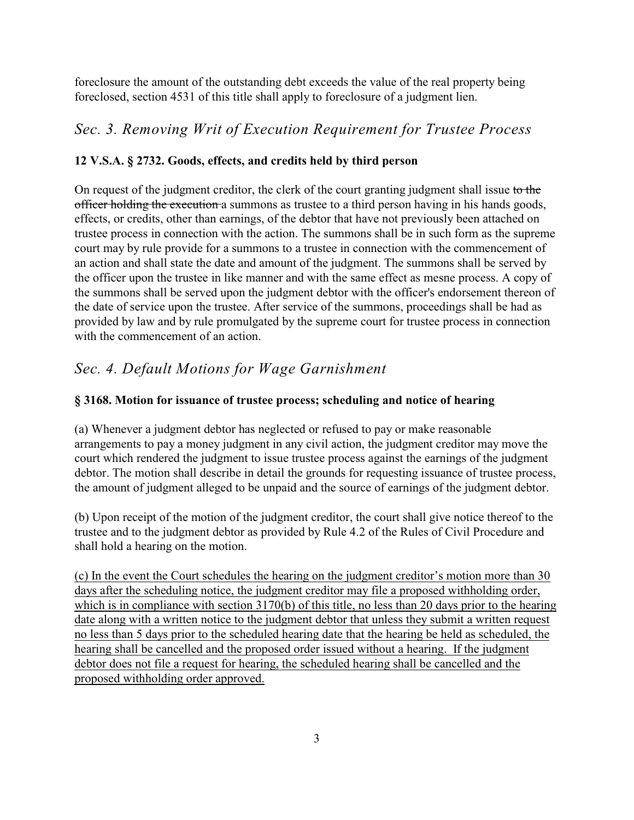foreclosure the amount of the outstanding debt exceeds the value of the real property being foreclosed, section 4531 of this title shall apply to foreclosure of a judgment lien.

# *Sec. 3. Removing Writ of Execution Requirement for Trustee Process*

## **12 V.S.A. § 2732. Goods, effects, and credits held by third person**

On request of the judgment creditor, the clerk of the court granting judgment shall issue to the officer holding the execution a summons as trustee to a third person having in his hands goods, effects, or credits, other than earnings, of the debtor that have not previously been attached on trustee process in connection with the action. The summons shall be in such form as the supreme court may by rule provide for a summons to a trustee in connection with the commencement of an action and shall state the date and amount of the judgment. The summons shall be served by the officer upon the trustee in like manner and with the same effect as mesne process. A copy of the summons shall be served upon the judgment debtor with the officer's endorsement thereon of the date of service upon the trustee. After service of the summons, proceedings shall be had as provided by law and by rule promulgated by the supreme court for trustee process in connection with the commencement of an action.

# *Sec. 4. Default Motions for Wage Garnishment*

### **§ 3168. Motion for issuance of trustee process; scheduling and notice of hearing**

(a) Whenever a judgment debtor has neglected or refused to pay or make reasonable arrangements to pay a money judgment in any civil action, the judgment creditor may move the court which rendered the judgment to issue trustee process against the earnings of the judgment debtor. The motion shall describe in detail the grounds for requesting issuance of trustee process, the amount of judgment alleged to be unpaid and the source of earnings of the judgment debtor.

(b) Upon receipt of the motion of the judgment creditor, the court shall give notice thereof to the trustee and to the judgment debtor as provided by Rule 4.2 of the Rules of Civil Procedure and shall hold a hearing on the motion.

(c) In the event the Court schedules the hearing on the judgment creditor's motion more than 30 days after the scheduling notice, the judgment creditor may file a proposed withholding order, which is in compliance with section 3170(b) of this title, no less than 20 days prior to the hearing date along with a written notice to the judgment debtor that unless they submit a written request no less than 5 days prior to the scheduled hearing date that the hearing be held as scheduled, the hearing shall be cancelled and the proposed order issued without a hearing. If the judgment debtor does not file a request for hearing, the scheduled hearing shall be cancelled and the proposed withholding order approved.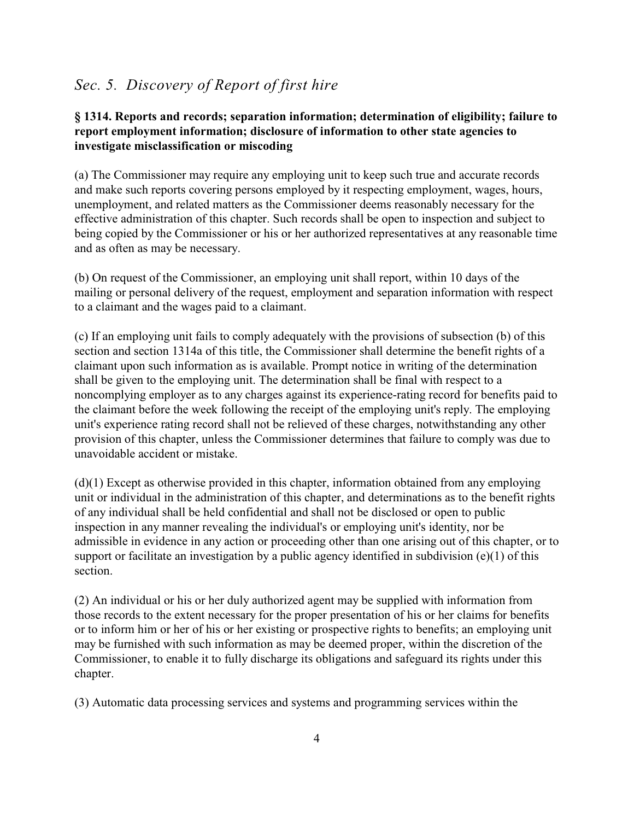# *Sec. 5. Discovery of Report of first hire*

#### **§ 1314. Reports and records; separation information; determination of eligibility; failure to report employment information; disclosure of information to other state agencies to investigate misclassification or miscoding**

(a) The Commissioner may require any employing unit to keep such true and accurate records and make such reports covering persons employed by it respecting employment, wages, hours, unemployment, and related matters as the Commissioner deems reasonably necessary for the effective administration of this chapter. Such records shall be open to inspection and subject to being copied by the Commissioner or his or her authorized representatives at any reasonable time and as often as may be necessary.

(b) On request of the Commissioner, an employing unit shall report, within 10 days of the mailing or personal delivery of the request, employment and separation information with respect to a claimant and the wages paid to a claimant.

(c) If an employing unit fails to comply adequately with the provisions of subsection (b) of this section and section 1314a of this title, the Commissioner shall determine the benefit rights of a claimant upon such information as is available. Prompt notice in writing of the determination shall be given to the employing unit. The determination shall be final with respect to a noncomplying employer as to any charges against its experience-rating record for benefits paid to the claimant before the week following the receipt of the employing unit's reply. The employing unit's experience rating record shall not be relieved of these charges, notwithstanding any other provision of this chapter, unless the Commissioner determines that failure to comply was due to unavoidable accident or mistake.

(d)(1) Except as otherwise provided in this chapter, information obtained from any employing unit or individual in the administration of this chapter, and determinations as to the benefit rights of any individual shall be held confidential and shall not be disclosed or open to public inspection in any manner revealing the individual's or employing unit's identity, nor be admissible in evidence in any action or proceeding other than one arising out of this chapter, or to support or facilitate an investigation by a public agency identified in subdivision (e)(1) of this section.

(2) An individual or his or her duly authorized agent may be supplied with information from those records to the extent necessary for the proper presentation of his or her claims for benefits or to inform him or her of his or her existing or prospective rights to benefits; an employing unit may be furnished with such information as may be deemed proper, within the discretion of the Commissioner, to enable it to fully discharge its obligations and safeguard its rights under this chapter.

(3) Automatic data processing services and systems and programming services within the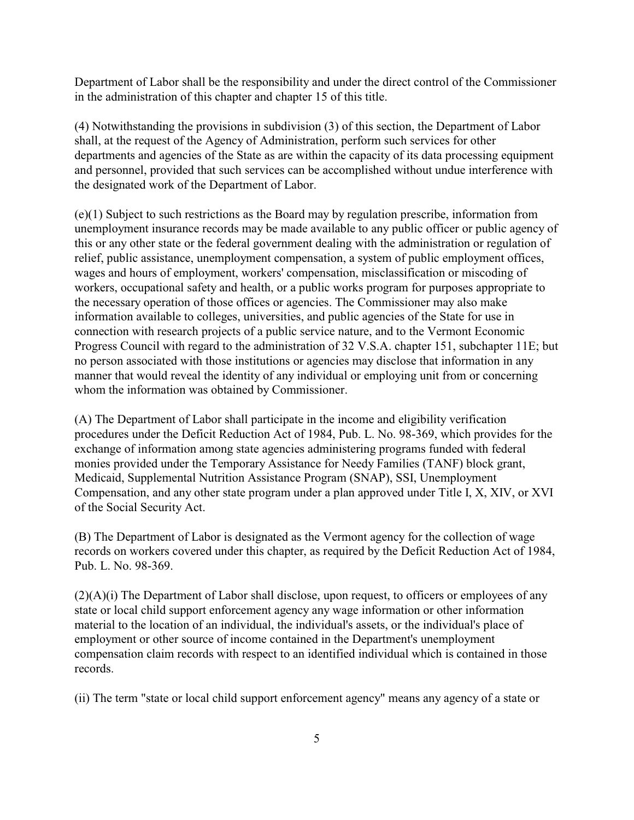Department of Labor shall be the responsibility and under the direct control of the Commissioner in the administration of this chapter and chapter 15 of this title.

(4) Notwithstanding the provisions in subdivision (3) of this section, the Department of Labor shall, at the request of the Agency of Administration, perform such services for other departments and agencies of the State as are within the capacity of its data processing equipment and personnel, provided that such services can be accomplished without undue interference with the designated work of the Department of Labor.

(e)(1) Subject to such restrictions as the Board may by regulation prescribe, information from unemployment insurance records may be made available to any public officer or public agency of this or any other state or the federal government dealing with the administration or regulation of relief, public assistance, unemployment compensation, a system of public employment offices, wages and hours of employment, workers' compensation, misclassification or miscoding of workers, occupational safety and health, or a public works program for purposes appropriate to the necessary operation of those offices or agencies. The Commissioner may also make information available to colleges, universities, and public agencies of the State for use in connection with research projects of a public service nature, and to the Vermont Economic Progress Council with regard to the administration of 32 V.S.A. chapter 151, subchapter 11E; but no person associated with those institutions or agencies may disclose that information in any manner that would reveal the identity of any individual or employing unit from or concerning whom the information was obtained by Commissioner.

(A) The Department of Labor shall participate in the income and eligibility verification procedures under the Deficit Reduction Act of 1984, Pub. L. No. 98-369, which provides for the exchange of information among state agencies administering programs funded with federal monies provided under the Temporary Assistance for Needy Families (TANF) block grant, Medicaid, Supplemental Nutrition Assistance Program (SNAP), SSI, Unemployment Compensation, and any other state program under a plan approved under Title I, X, XIV, or XVI of the Social Security Act.

(B) The Department of Labor is designated as the Vermont agency for the collection of wage records on workers covered under this chapter, as required by the Deficit Reduction Act of 1984, Pub. L. No. 98-369.

(2)(A)(i) The Department of Labor shall disclose, upon request, to officers or employees of any state or local child support enforcement agency any wage information or other information material to the location of an individual, the individual's assets, or the individual's place of employment or other source of income contained in the Department's unemployment compensation claim records with respect to an identified individual which is contained in those records.

(ii) The term "state or local child support enforcement agency" means any agency of a state or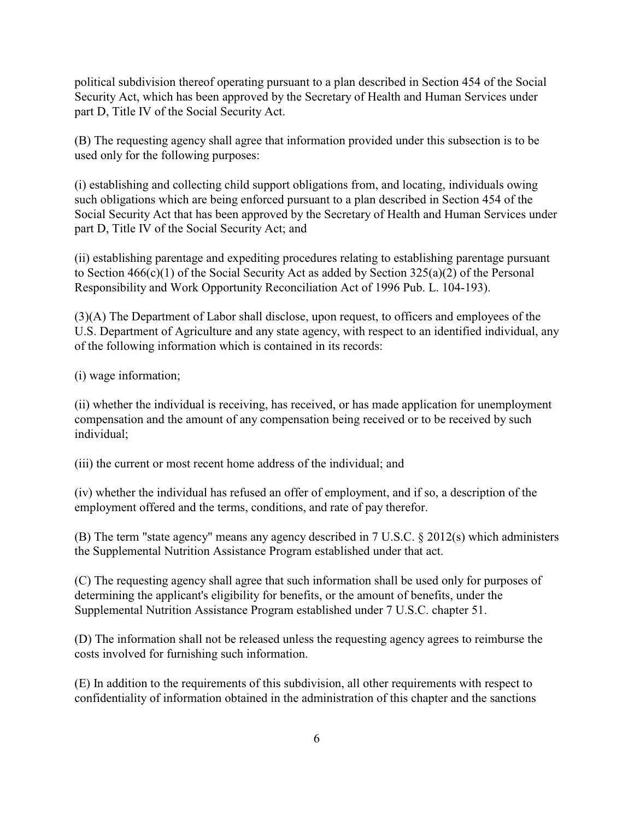political subdivision thereof operating pursuant to a plan described in Section 454 of the Social Security Act, which has been approved by the Secretary of Health and Human Services under part D, Title IV of the Social Security Act.

(B) The requesting agency shall agree that information provided under this subsection is to be used only for the following purposes:

(i) establishing and collecting child support obligations from, and locating, individuals owing such obligations which are being enforced pursuant to a plan described in Section 454 of the Social Security Act that has been approved by the Secretary of Health and Human Services under part D, Title IV of the Social Security Act; and

(ii) establishing parentage and expediting procedures relating to establishing parentage pursuant to Section  $466(c)(1)$  of the Social Security Act as added by Section  $325(a)(2)$  of the Personal Responsibility and Work Opportunity Reconciliation Act of 1996 Pub. L. 104-193).

(3)(A) The Department of Labor shall disclose, upon request, to officers and employees of the U.S. Department of Agriculture and any state agency, with respect to an identified individual, any of the following information which is contained in its records:

(i) wage information;

(ii) whether the individual is receiving, has received, or has made application for unemployment compensation and the amount of any compensation being received or to be received by such individual;

(iii) the current or most recent home address of the individual; and

(iv) whether the individual has refused an offer of employment, and if so, a description of the employment offered and the terms, conditions, and rate of pay therefor.

(B) The term "state agency" means any agency described in 7 U.S.C. § 2012(s) which administers the Supplemental Nutrition Assistance Program established under that act.

(C) The requesting agency shall agree that such information shall be used only for purposes of determining the applicant's eligibility for benefits, or the amount of benefits, under the Supplemental Nutrition Assistance Program established under 7 U.S.C. chapter 51.

(D) The information shall not be released unless the requesting agency agrees to reimburse the costs involved for furnishing such information.

(E) In addition to the requirements of this subdivision, all other requirements with respect to confidentiality of information obtained in the administration of this chapter and the sanctions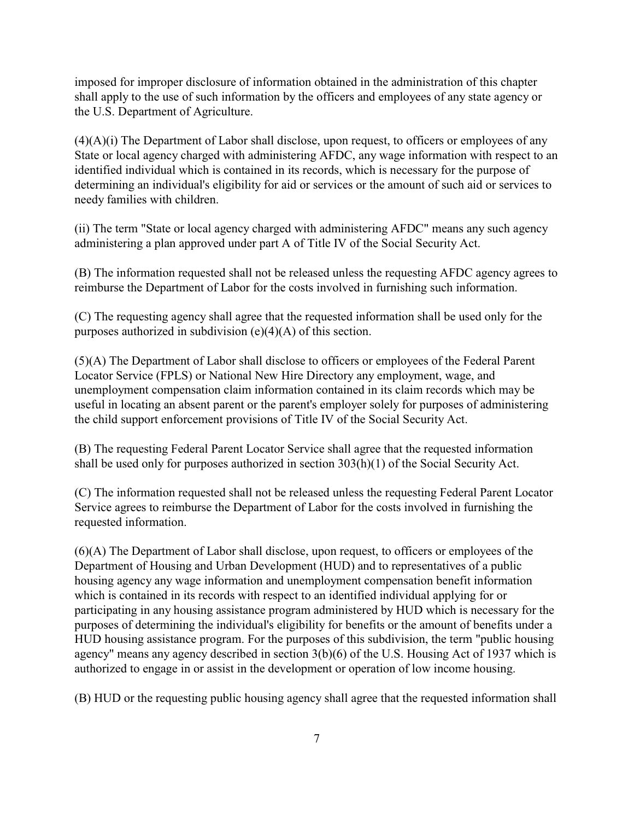imposed for improper disclosure of information obtained in the administration of this chapter shall apply to the use of such information by the officers and employees of any state agency or the U.S. Department of Agriculture.

 $(4)(A)(i)$  The Department of Labor shall disclose, upon request, to officers or employees of any State or local agency charged with administering AFDC, any wage information with respect to an identified individual which is contained in its records, which is necessary for the purpose of determining an individual's eligibility for aid or services or the amount of such aid or services to needy families with children.

(ii) The term "State or local agency charged with administering AFDC" means any such agency administering a plan approved under part A of Title IV of the Social Security Act.

(B) The information requested shall not be released unless the requesting AFDC agency agrees to reimburse the Department of Labor for the costs involved in furnishing such information.

(C) The requesting agency shall agree that the requested information shall be used only for the purposes authorized in subdivision (e)(4)(A) of this section.

(5)(A) The Department of Labor shall disclose to officers or employees of the Federal Parent Locator Service (FPLS) or National New Hire Directory any employment, wage, and unemployment compensation claim information contained in its claim records which may be useful in locating an absent parent or the parent's employer solely for purposes of administering the child support enforcement provisions of Title IV of the Social Security Act.

(B) The requesting Federal Parent Locator Service shall agree that the requested information shall be used only for purposes authorized in section 303(h)(1) of the Social Security Act.

(C) The information requested shall not be released unless the requesting Federal Parent Locator Service agrees to reimburse the Department of Labor for the costs involved in furnishing the requested information.

(6)(A) The Department of Labor shall disclose, upon request, to officers or employees of the Department of Housing and Urban Development (HUD) and to representatives of a public housing agency any wage information and unemployment compensation benefit information which is contained in its records with respect to an identified individual applying for or participating in any housing assistance program administered by HUD which is necessary for the purposes of determining the individual's eligibility for benefits or the amount of benefits under a HUD housing assistance program. For the purposes of this subdivision, the term "public housing agency" means any agency described in section 3(b)(6) of the U.S. Housing Act of 1937 which is authorized to engage in or assist in the development or operation of low income housing.

(B) HUD or the requesting public housing agency shall agree that the requested information shall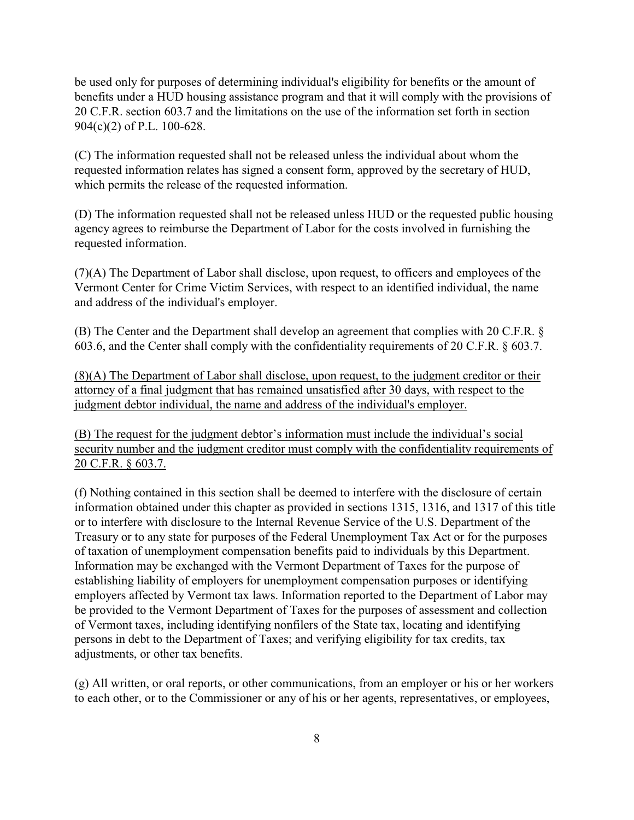be used only for purposes of determining individual's eligibility for benefits or the amount of benefits under a HUD housing assistance program and that it will comply with the provisions of 20 C.F.R. section 603.7 and the limitations on the use of the information set forth in section 904(c)(2) of P.L. 100-628.

(C) The information requested shall not be released unless the individual about whom the requested information relates has signed a consent form, approved by the secretary of HUD, which permits the release of the requested information.

(D) The information requested shall not be released unless HUD or the requested public housing agency agrees to reimburse the Department of Labor for the costs involved in furnishing the requested information.

(7)(A) The Department of Labor shall disclose, upon request, to officers and employees of the Vermont Center for Crime Victim Services, with respect to an identified individual, the name and address of the individual's employer.

(B) The Center and the Department shall develop an agreement that complies with 20 C.F.R. § 603.6, and the Center shall comply with the confidentiality requirements of 20 C.F.R. § 603.7.

(8)(A) The Department of Labor shall disclose, upon request, to the judgment creditor or their attorney of a final judgment that has remained unsatisfied after 30 days, with respect to the judgment debtor individual, the name and address of the individual's employer.

(B) The request for the judgment debtor's information must include the individual's social security number and the judgment creditor must comply with the confidentiality requirements of 20 C.F.R. § 603.7.

(f) Nothing contained in this section shall be deemed to interfere with the disclosure of certain information obtained under this chapter as provided in sections 1315, 1316, and 1317 of this title or to interfere with disclosure to the Internal Revenue Service of the U.S. Department of the Treasury or to any state for purposes of the Federal Unemployment Tax Act or for the purposes of taxation of unemployment compensation benefits paid to individuals by this Department. Information may be exchanged with the Vermont Department of Taxes for the purpose of establishing liability of employers for unemployment compensation purposes or identifying employers affected by Vermont tax laws. Information reported to the Department of Labor may be provided to the Vermont Department of Taxes for the purposes of assessment and collection of Vermont taxes, including identifying nonfilers of the State tax, locating and identifying persons in debt to the Department of Taxes; and verifying eligibility for tax credits, tax adjustments, or other tax benefits.

(g) All written, or oral reports, or other communications, from an employer or his or her workers to each other, or to the Commissioner or any of his or her agents, representatives, or employees,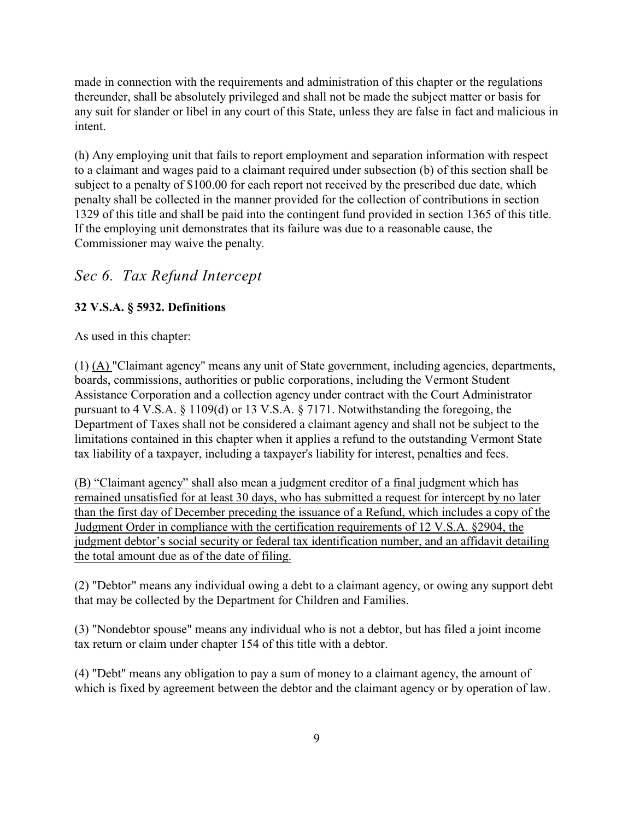made in connection with the requirements and administration of this chapter or the regulations thereunder, shall be absolutely privileged and shall not be made the subject matter or basis for any suit for slander or libel in any court of this State, unless they are false in fact and malicious in intent.

(h) Any employing unit that fails to report employment and separation information with respect to a claimant and wages paid to a claimant required under subsection (b) of this section shall be subject to a penalty of \$100.00 for each report not received by the prescribed due date, which penalty shall be collected in the manner provided for the collection of contributions in section 1329 of this title and shall be paid into the contingent fund provided in section 1365 of this title. If the employing unit demonstrates that its failure was due to a reasonable cause, the Commissioner may waive the penalty.

## *Sec 6. Tax Refund Intercept*

#### **32 V.S.A. § 5932. Definitions**

As used in this chapter:

(1) (A) "Claimant agency" means any unit of State government, including agencies, departments, boards, commissions, authorities or public corporations, including the Vermont Student Assistance Corporation and a collection agency under contract with the Court Administrator pursuant to 4 V.S.A. § 1109(d) or 13 V.S.A. § 7171. Notwithstanding the foregoing, the Department of Taxes shall not be considered a claimant agency and shall not be subject to the limitations contained in this chapter when it applies a refund to the outstanding Vermont State tax liability of a taxpayer, including a taxpayer's liability for interest, penalties and fees.

(B) "Claimant agency" shall also mean a judgment creditor of a final judgment which has remained unsatisfied for at least 30 days, who has submitted a request for intercept by no later than the first day of December preceding the issuance of a Refund, which includes a copy of the Judgment Order in compliance with the certification requirements of 12 V.S.A. §2904, the judgment debtor's social security or federal tax identification number, and an affidavit detailing the total amount due as of the date of filing.

(2) "Debtor" means any individual owing a debt to a claimant agency, or owing any support debt that may be collected by the Department for Children and Families.

(3) "Nondebtor spouse" means any individual who is not a debtor, but has filed a joint income tax return or claim under chapter 154 of this title with a debtor.

(4) "Debt" means any obligation to pay a sum of money to a claimant agency, the amount of which is fixed by agreement between the debtor and the claimant agency or by operation of law.